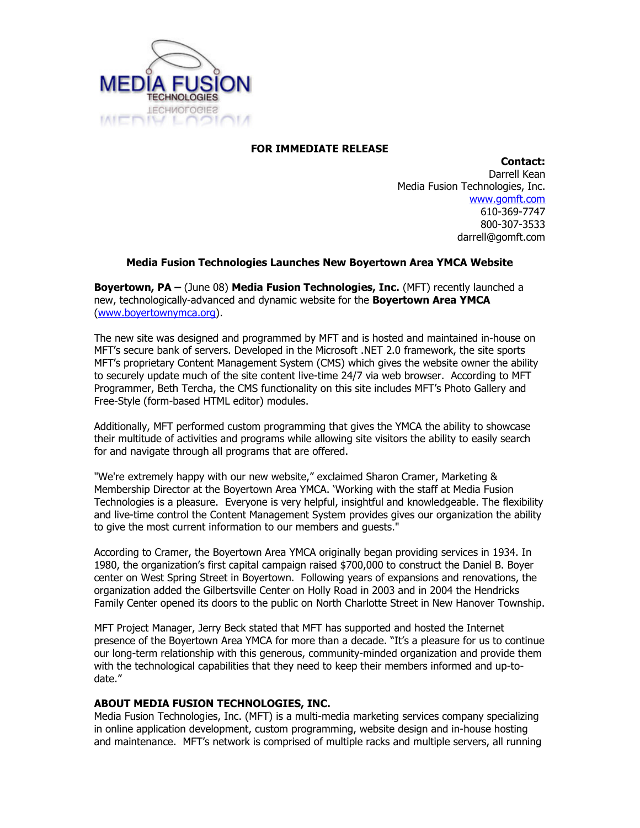

## FOR IMMEDIATE RELEASE

Contact: Darrell Kean Media Fusion Technologies, Inc. www.gomft.com 610-369-7747 800-307-3533 darrell@gomft.com

## Media Fusion Technologies Launches New Boyertown Area YMCA Website

Boyertown, PA – (June 08) Media Fusion Technologies, Inc. (MFT) recently launched a new, technologically-advanced and dynamic website for the **Boyertown Area YMCA** (www.boyertownymca.org).

The new site was designed and programmed by MFT and is hosted and maintained in-house on MFT's secure bank of servers. Developed in the Microsoft .NET 2.0 framework, the site sports MFT's proprietary Content Management System (CMS) which gives the website owner the ability to securely update much of the site content live-time 24/7 via web browser. According to MFT Programmer, Beth Tercha, the CMS functionality on this site includes MFT's Photo Gallery and Free-Style (form-based HTML editor) modules.

Additionally, MFT performed custom programming that gives the YMCA the ability to showcase their multitude of activities and programs while allowing site visitors the ability to easily search for and navigate through all programs that are offered.

"We're extremely happy with our new website," exclaimed Sharon Cramer, Marketing & Membership Director at the Boyertown Area YMCA. 'Working with the staff at Media Fusion Technologies is a pleasure. Everyone is very helpful, insightful and knowledgeable. The flexibility and live-time control the Content Management System provides gives our organization the ability to give the most current information to our members and guests."

According to Cramer, the Boyertown Area YMCA originally began providing services in 1934. In 1980, the organization's first capital campaign raised \$700,000 to construct the Daniel B. Boyer center on West Spring Street in Boyertown. Following years of expansions and renovations, the organization added the Gilbertsville Center on Holly Road in 2003 and in 2004 the Hendricks Family Center opened its doors to the public on North Charlotte Street in New Hanover Township.

MFT Project Manager, Jerry Beck stated that MFT has supported and hosted the Internet presence of the Boyertown Area YMCA for more than a decade. "It's a pleasure for us to continue our long-term relationship with this generous, community-minded organization and provide them with the technological capabilities that they need to keep their members informed and up-todate."

## ABOUT MEDIA FUSION TECHNOLOGIES, INC.

Media Fusion Technologies, Inc. (MFT) is a multi-media marketing services company specializing in online application development, custom programming, website design and in-house hosting and maintenance. MFT's network is comprised of multiple racks and multiple servers, all running